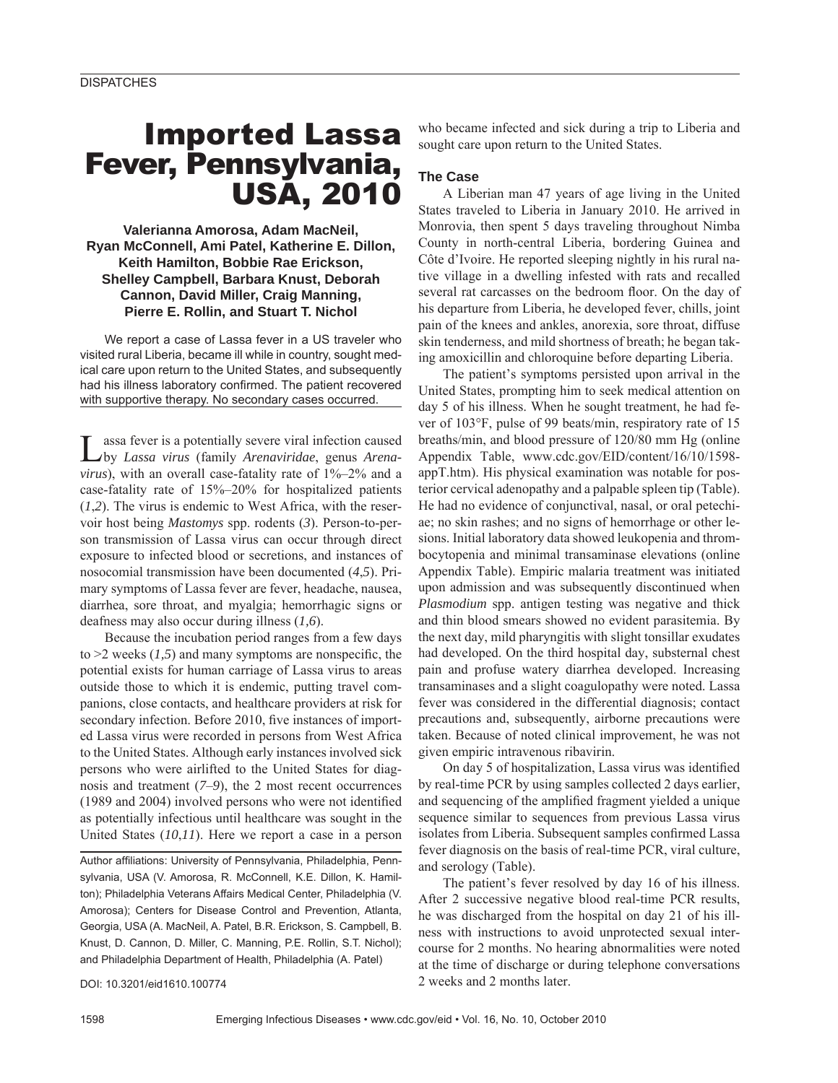# Imported Lassa Fever, Pennsylvania, USA, 2010

**Valerianna Amorosa, Adam MacNeil, Ryan McConnell, Ami Patel, Katherine E. Dillon, Keith Hamilton, Bobbie Rae Erickson, Shelley Campbell, Barbara Knust, Deborah Cannon, David Miller, Craig Manning, Pierre E. Rollin, and Stuart T. Nichol**

We report a case of Lassa fever in a US traveler who visited rural Liberia, became ill while in country, sought medical care upon return to the United States, and subsequently had his illness laboratory confirmed. The patient recovered with supportive therapy. No secondary cases occurred.

Lassa fever is a potentially severe viral infection caused by *Lassa virus* (family *Arenaviridae*, genus *Arenavirus*), with an overall case-fatality rate of 1%–2% and a case-fatality rate of 15%–20% for hospitalized patients (*1*,*2*). The virus is endemic to West Africa, with the reservoir host being *Mastomys* spp. rodents (*3*). Person-to-person transmission of Lassa virus can occur through direct exposure to infected blood or secretions, and instances of nosocomial transmission have been documented (*4*,*5*). Primary symptoms of Lassa fever are fever, headache, nausea, diarrhea, sore throat, and myalgia; hemorrhagic signs or deafness may also occur during illness (*1,6*).

Because the incubation period ranges from a few days to  $\geq$  weeks (1,5) and many symptoms are nonspecific, the potential exists for human carriage of Lassa virus to areas outside those to which it is endemic, putting travel companions, close contacts, and healthcare providers at risk for secondary infection. Before 2010, five instances of imported Lassa virus were recorded in persons from West Africa to the United States. Although early instances involved sick persons who were airlifted to the United States for diagnosis and treatment (*7*–*9*), the 2 most recent occurrences  $(1989$  and  $2004)$  involved persons who were not identified as potentially infectious until healthcare was sought in the United States (*10*,*11*). Here we report a case in a person

Author affiliations: University of Pennsylvania, Philadelphia, Pennsylvania, USA (V. Amorosa, R. McConnell, K.E. Dillon, K. Hamilton); Philadelphia Veterans Affairs Medical Center, Philadelphia (V. Amorosa); Centers for Disease Control and Prevention, Atlanta, Georgia, USA (A. MacNeil, A. Patel, B.R. Erickson, S. Campbell, B. Knust, D. Cannon, D. Miller, C. Manning, P.E. Rollin, S.T. Nichol); and Philadelphia Department of Health, Philadelphia (A. Patel)

DOI: 10.3201/eid1610.100774

who became infected and sick during a trip to Liberia and sought care upon return to the United States.

## **The Case**

A Liberian man 47 years of age living in the United States traveled to Liberia in January 2010. He arrived in Monrovia, then spent 5 days traveling throughout Nimba County in north-central Liberia, bordering Guinea and Côte d'Ivoire. He reported sleeping nightly in his rural native village in a dwelling infested with rats and recalled several rat carcasses on the bedroom floor. On the day of his departure from Liberia, he developed fever, chills, joint pain of the knees and ankles, anorexia, sore throat, diffuse skin tenderness, and mild shortness of breath; he began taking amoxicillin and chloroquine before departing Liberia.

The patient's symptoms persisted upon arrival in the United States, prompting him to seek medical attention on day 5 of his illness. When he sought treatment, he had fever of 103°F, pulse of 99 beats/min, respiratory rate of 15 breaths/min, and blood pressure of 120/80 mm Hg (online Appendix Table, www.cdc.gov/EID/content/16/10/1598 appT.htm). His physical examination was notable for posterior cervical adenopathy and a palpable spleen tip (Table). He had no evidence of conjunctival, nasal, or oral petechiae; no skin rashes; and no signs of hemorrhage or other lesions. Initial laboratory data showed leukopenia and thrombocytopenia and minimal transaminase elevations (online Appendix Table). Empiric malaria treatment was initiated upon admission and was subsequently discontinued when *Plasmodium* spp. antigen testing was negative and thick and thin blood smears showed no evident parasitemia. By the next day, mild pharyngitis with slight tonsillar exudates had developed. On the third hospital day, substernal chest pain and profuse watery diarrhea developed. Increasing transaminases and a slight coagulopathy were noted. Lassa fever was considered in the differential diagnosis; contact precautions and, subsequently, airborne precautions were taken. Because of noted clinical improvement, he was not given empiric intravenous ribavirin.

On day 5 of hospitalization, Lassa virus was identified by real-time PCR by using samples collected 2 days earlier, and sequencing of the amplified fragment yielded a unique sequence similar to sequences from previous Lassa virus isolates from Liberia. Subsequent samples confirmed Lassa fever diagnosis on the basis of real-time PCR, viral culture, and serology (Table).

The patient's fever resolved by day 16 of his illness. After 2 successive negative blood real-time PCR results, he was discharged from the hospital on day 21 of his illness with instructions to avoid unprotected sexual intercourse for 2 months. No hearing abnormalities were noted at the time of discharge or during telephone conversations 2 weeks and 2 months later.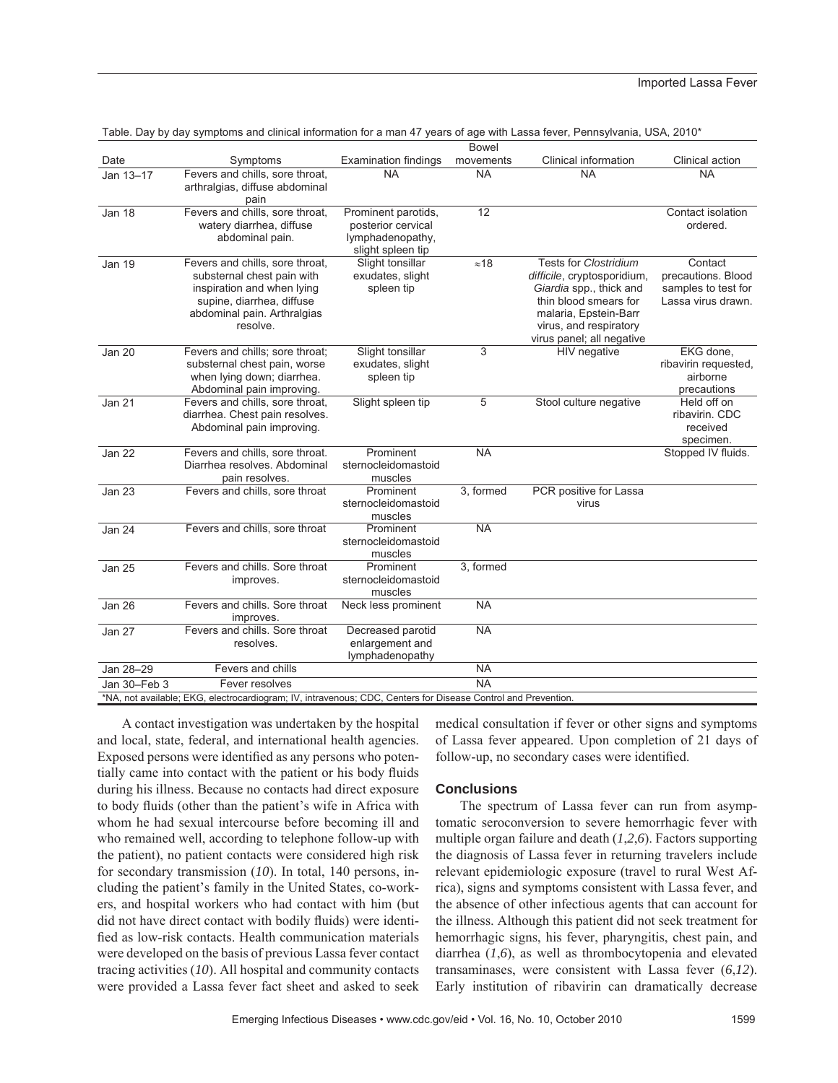|                                                                                                               |                                                                                                                                                                     |                                                                                    | <b>Bowel</b> |                                                                                                                                                                                                 |                                                                            |
|---------------------------------------------------------------------------------------------------------------|---------------------------------------------------------------------------------------------------------------------------------------------------------------------|------------------------------------------------------------------------------------|--------------|-------------------------------------------------------------------------------------------------------------------------------------------------------------------------------------------------|----------------------------------------------------------------------------|
| Date                                                                                                          | Symptoms                                                                                                                                                            | <b>Examination findings</b>                                                        | movements    | Clinical information                                                                                                                                                                            | Clinical action                                                            |
| Jan 13-17                                                                                                     | Fevers and chills, sore throat,<br>arthralgias, diffuse abdominal<br>pain                                                                                           | <b>NA</b>                                                                          | <b>NA</b>    | <b>NA</b>                                                                                                                                                                                       | <b>NA</b>                                                                  |
| Jan 18                                                                                                        | Fevers and chills, sore throat,<br>watery diarrhea, diffuse<br>abdominal pain.                                                                                      | Prominent parotids,<br>posterior cervical<br>lymphadenopathy,<br>slight spleen tip | 12           |                                                                                                                                                                                                 | Contact isolation<br>ordered.                                              |
| <b>Jan 19</b>                                                                                                 | Fevers and chills, sore throat,<br>substernal chest pain with<br>inspiration and when lying<br>supine, diarrhea, diffuse<br>abdominal pain. Arthralgias<br>resolve. | Slight tonsillar<br>exudates, slight<br>spleen tip                                 | $\approx 18$ | <b>Tests for Clostridium</b><br>difficile, cryptosporidium,<br>Giardia spp., thick and<br>thin blood smears for<br>malaria, Epstein-Barr<br>virus, and respiratory<br>virus panel; all negative | Contact<br>precautions. Blood<br>samples to test for<br>Lassa virus drawn. |
| <b>Jan 20</b>                                                                                                 | Fevers and chills; sore throat;<br>substernal chest pain, worse<br>when lying down; diarrhea.<br>Abdominal pain improving.                                          | Slight tonsillar<br>exudates, slight<br>spleen tip                                 | 3            | <b>HIV</b> negative                                                                                                                                                                             | EKG done,<br>ribavirin requested,<br>airborne<br>precautions               |
| Jan 21                                                                                                        | Fevers and chills, sore throat,<br>diarrhea. Chest pain resolves.<br>Abdominal pain improving.                                                                      | Slight spleen tip                                                                  | 5            | Stool culture negative                                                                                                                                                                          | Held off on<br>ribavirin. CDC<br>received<br>specimen.                     |
| Jan 22                                                                                                        | Fevers and chills, sore throat.<br>Diarrhea resolves. Abdominal<br>pain resolves.                                                                                   | Prominent<br>sternocleidomastoid<br>muscles                                        | <b>NA</b>    |                                                                                                                                                                                                 | Stopped IV fluids.                                                         |
| Jan 23                                                                                                        | Fevers and chills, sore throat                                                                                                                                      | Prominent<br>sternocleidomastoid<br>muscles                                        | 3, formed    | PCR positive for Lassa<br>virus                                                                                                                                                                 |                                                                            |
| Jan 24                                                                                                        | Fevers and chills, sore throat                                                                                                                                      | Prominent<br>sternocleidomastoid<br>muscles                                        | <b>NA</b>    |                                                                                                                                                                                                 |                                                                            |
| <b>Jan 25</b>                                                                                                 | Fevers and chills. Sore throat<br>improves.                                                                                                                         | Prominent<br>sternocleidomastoid<br>muscles                                        | 3. formed    |                                                                                                                                                                                                 |                                                                            |
| <b>Jan 26</b>                                                                                                 | Fevers and chills. Sore throat<br>improves.                                                                                                                         | Neck less prominent                                                                | <b>NA</b>    |                                                                                                                                                                                                 |                                                                            |
| Jan 27                                                                                                        | Fevers and chills. Sore throat<br>resolves.                                                                                                                         | Decreased parotid<br>enlargement and<br>lymphadenopathy                            | <b>NA</b>    |                                                                                                                                                                                                 |                                                                            |
| Jan 28-29                                                                                                     | Fevers and chills                                                                                                                                                   |                                                                                    | <b>NA</b>    |                                                                                                                                                                                                 |                                                                            |
| Jan 30-Feb 3                                                                                                  | Fever resolves                                                                                                                                                      |                                                                                    | <b>NA</b>    |                                                                                                                                                                                                 |                                                                            |
| *NA, not available; EKG, electrocardiogram; IV, intravenous; CDC, Centers for Disease Control and Prevention. |                                                                                                                                                                     |                                                                                    |              |                                                                                                                                                                                                 |                                                                            |

Table. Day by day symptoms and clinical information for a man 47 years of age with Lassa fever, Pennsylvania, USA, 2010\*

A contact investigation was undertaken by the hospital and local, state, federal, and international health agencies. Exposed persons were identified as any persons who potentially came into contact with the patient or his body fluids during his illness. Because no contacts had direct exposure to body fluids (other than the patient's wife in Africa with whom he had sexual intercourse before becoming ill and who remained well, according to telephone follow-up with the patient), no patient contacts were considered high risk for secondary transmission (*10*). In total, 140 persons, including the patient's family in the United States, co-workers, and hospital workers who had contact with him (but did not have direct contact with bodily fluids) were identified as low-risk contacts. Health communication materials were developed on the basis of previous Lassa fever contact tracing activities (*10*). All hospital and community contacts were provided a Lassa fever fact sheet and asked to seek medical consultation if fever or other signs and symptoms of Lassa fever appeared. Upon completion of 21 days of follow-up, no secondary cases were identified.

### **Conclusions**

The spectrum of Lassa fever can run from asymptomatic seroconversion to severe hemorrhagic fever with multiple organ failure and death (*1*,*2*,*6*). Factors supporting the diagnosis of Lassa fever in returning travelers include relevant epidemiologic exposure (travel to rural West Africa), signs and symptoms consistent with Lassa fever, and the absence of other infectious agents that can account for the illness. Although this patient did not seek treatment for hemorrhagic signs, his fever, pharyngitis, chest pain, and diarrhea (*1*,*6*), as well as thrombocytopenia and elevated transaminases, were consistent with Lassa fever (*6*,*12*). Early institution of ribavirin can dramatically decrease